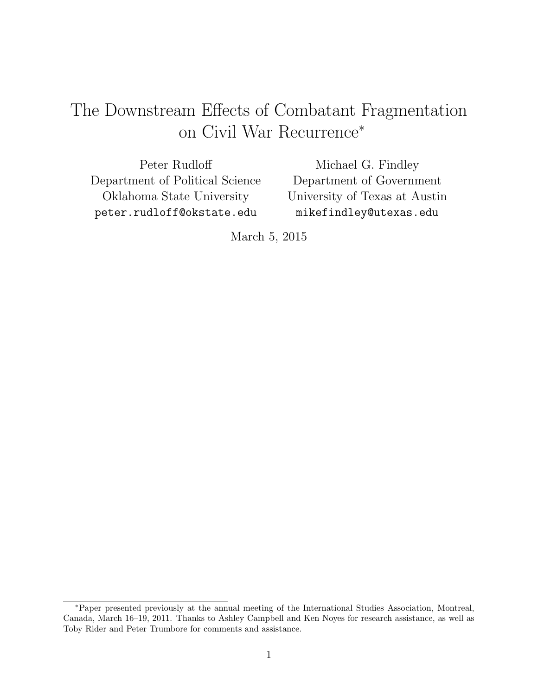# The Downstream Effects of Combatant Fragmentation on Civil War Recurrence<sup>∗</sup>

Peter Rudloff Department of Political Science Oklahoma State University peter.rudloff@okstate.edu

Michael G. Findley Department of Government University of Texas at Austin mikefindley@utexas.edu

March 5, 2015

<sup>∗</sup>Paper presented previously at the annual meeting of the International Studies Association, Montreal, Canada, March 16–19, 2011. Thanks to Ashley Campbell and Ken Noyes for research assistance, as well as Toby Rider and Peter Trumbore for comments and assistance.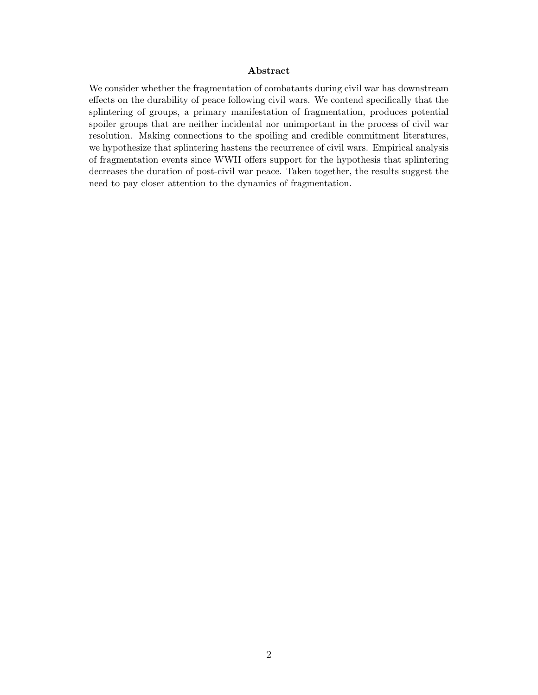#### Abstract

We consider whether the fragmentation of combatants during civil war has downstream effects on the durability of peace following civil wars. We contend specifically that the splintering of groups, a primary manifestation of fragmentation, produces potential spoiler groups that are neither incidental nor unimportant in the process of civil war resolution. Making connections to the spoiling and credible commitment literatures, we hypothesize that splintering hastens the recurrence of civil wars. Empirical analysis of fragmentation events since WWII offers support for the hypothesis that splintering decreases the duration of post-civil war peace. Taken together, the results suggest the need to pay closer attention to the dynamics of fragmentation.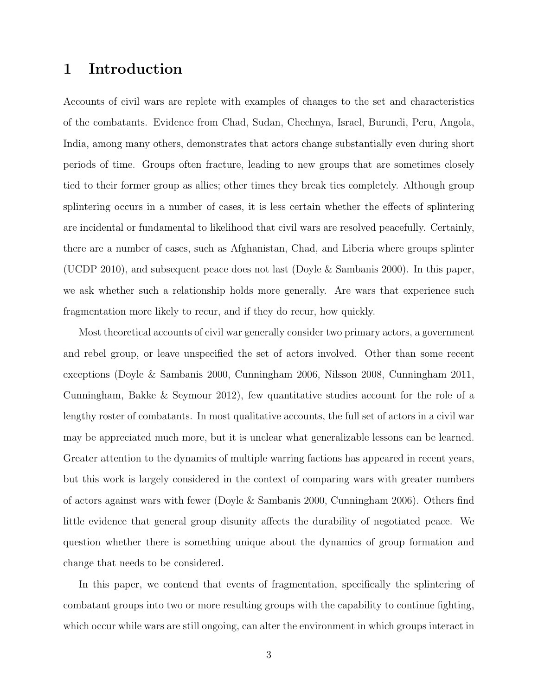### 1 Introduction

Accounts of civil wars are replete with examples of changes to the set and characteristics of the combatants. Evidence from Chad, Sudan, Chechnya, Israel, Burundi, Peru, Angola, India, among many others, demonstrates that actors change substantially even during short periods of time. Groups often fracture, leading to new groups that are sometimes closely tied to their former group as allies; other times they break ties completely. Although group splintering occurs in a number of cases, it is less certain whether the effects of splintering are incidental or fundamental to likelihood that civil wars are resolved peacefully. Certainly, there are a number of cases, such as Afghanistan, Chad, and Liberia where groups splinter (UCDP 2010), and subsequent peace does not last (Doyle & Sambanis 2000). In this paper, we ask whether such a relationship holds more generally. Are wars that experience such fragmentation more likely to recur, and if they do recur, how quickly.

Most theoretical accounts of civil war generally consider two primary actors, a government and rebel group, or leave unspecified the set of actors involved. Other than some recent exceptions (Doyle & Sambanis 2000, Cunningham 2006, Nilsson 2008, Cunningham 2011, Cunningham, Bakke & Seymour 2012), few quantitative studies account for the role of a lengthy roster of combatants. In most qualitative accounts, the full set of actors in a civil war may be appreciated much more, but it is unclear what generalizable lessons can be learned. Greater attention to the dynamics of multiple warring factions has appeared in recent years, but this work is largely considered in the context of comparing wars with greater numbers of actors against wars with fewer (Doyle & Sambanis 2000, Cunningham 2006). Others find little evidence that general group disunity affects the durability of negotiated peace. We question whether there is something unique about the dynamics of group formation and change that needs to be considered.

In this paper, we contend that events of fragmentation, specifically the splintering of combatant groups into two or more resulting groups with the capability to continue fighting, which occur while wars are still ongoing, can alter the environment in which groups interact in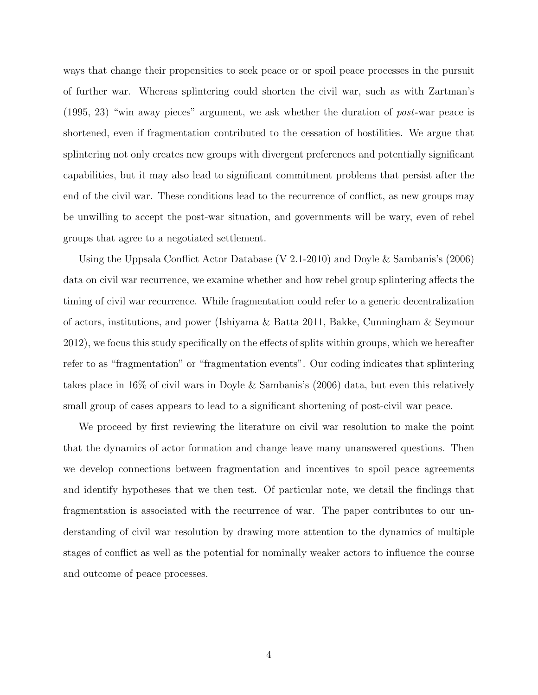ways that change their propensities to seek peace or or spoil peace processes in the pursuit of further war. Whereas splintering could shorten the civil war, such as with Zartman's (1995, 23) "win away pieces" argument, we ask whether the duration of post-war peace is shortened, even if fragmentation contributed to the cessation of hostilities. We argue that splintering not only creates new groups with divergent preferences and potentially significant capabilities, but it may also lead to significant commitment problems that persist after the end of the civil war. These conditions lead to the recurrence of conflict, as new groups may be unwilling to accept the post-war situation, and governments will be wary, even of rebel groups that agree to a negotiated settlement.

Using the Uppsala Conflict Actor Database (V 2.1-2010) and Doyle & Sambanis's (2006) data on civil war recurrence, we examine whether and how rebel group splintering affects the timing of civil war recurrence. While fragmentation could refer to a generic decentralization of actors, institutions, and power (Ishiyama & Batta 2011, Bakke, Cunningham & Seymour 2012), we focus this study specifically on the effects of splits within groups, which we hereafter refer to as "fragmentation" or "fragmentation events". Our coding indicates that splintering takes place in 16% of civil wars in Doyle & Sambanis's (2006) data, but even this relatively small group of cases appears to lead to a significant shortening of post-civil war peace.

We proceed by first reviewing the literature on civil war resolution to make the point that the dynamics of actor formation and change leave many unanswered questions. Then we develop connections between fragmentation and incentives to spoil peace agreements and identify hypotheses that we then test. Of particular note, we detail the findings that fragmentation is associated with the recurrence of war. The paper contributes to our understanding of civil war resolution by drawing more attention to the dynamics of multiple stages of conflict as well as the potential for nominally weaker actors to influence the course and outcome of peace processes.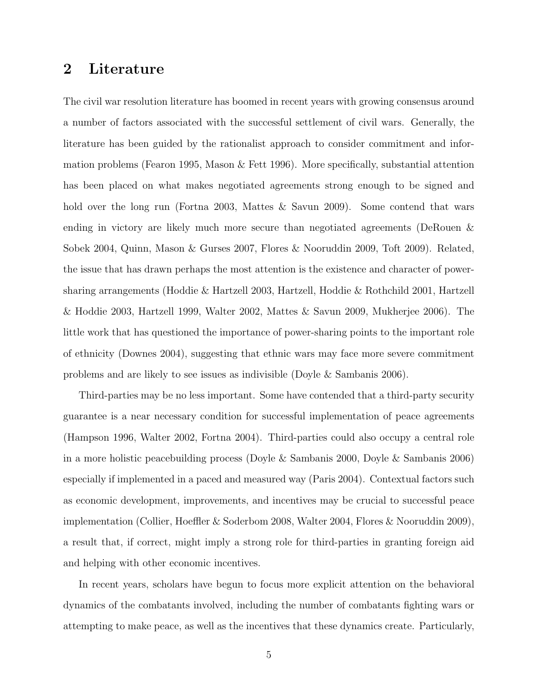# 2 Literature

The civil war resolution literature has boomed in recent years with growing consensus around a number of factors associated with the successful settlement of civil wars. Generally, the literature has been guided by the rationalist approach to consider commitment and information problems (Fearon 1995, Mason & Fett 1996). More specifically, substantial attention has been placed on what makes negotiated agreements strong enough to be signed and hold over the long run (Fortna 2003, Mattes & Savun 2009). Some contend that wars ending in victory are likely much more secure than negotiated agreements (DeRouen & Sobek 2004, Quinn, Mason & Gurses 2007, Flores & Nooruddin 2009, Toft 2009). Related, the issue that has drawn perhaps the most attention is the existence and character of powersharing arrangements (Hoddie & Hartzell 2003, Hartzell, Hoddie & Rothchild 2001, Hartzell & Hoddie 2003, Hartzell 1999, Walter 2002, Mattes & Savun 2009, Mukherjee 2006). The little work that has questioned the importance of power-sharing points to the important role of ethnicity (Downes 2004), suggesting that ethnic wars may face more severe commitment problems and are likely to see issues as indivisible (Doyle & Sambanis 2006).

Third-parties may be no less important. Some have contended that a third-party security guarantee is a near necessary condition for successful implementation of peace agreements (Hampson 1996, Walter 2002, Fortna 2004). Third-parties could also occupy a central role in a more holistic peacebuilding process (Doyle & Sambanis 2000, Doyle & Sambanis 2006) especially if implemented in a paced and measured way (Paris 2004). Contextual factors such as economic development, improvements, and incentives may be crucial to successful peace implementation (Collier, Hoeffler & Soderbom 2008, Walter 2004, Flores & Nooruddin 2009), a result that, if correct, might imply a strong role for third-parties in granting foreign aid and helping with other economic incentives.

In recent years, scholars have begun to focus more explicit attention on the behavioral dynamics of the combatants involved, including the number of combatants fighting wars or attempting to make peace, as well as the incentives that these dynamics create. Particularly,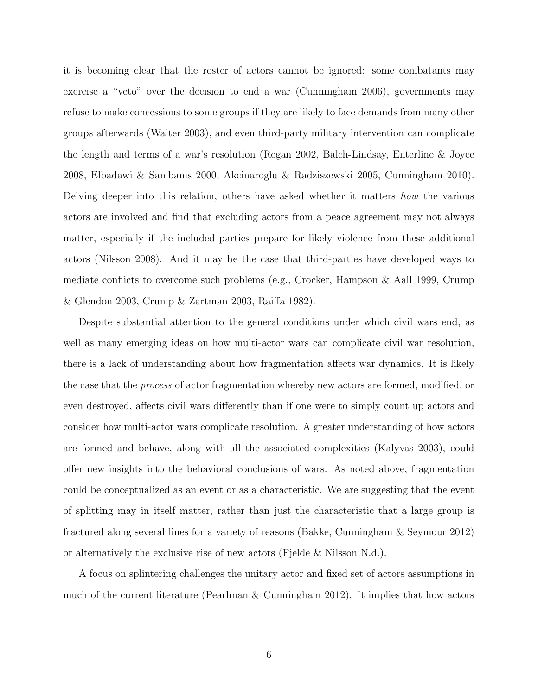it is becoming clear that the roster of actors cannot be ignored: some combatants may exercise a "veto" over the decision to end a war (Cunningham 2006), governments may refuse to make concessions to some groups if they are likely to face demands from many other groups afterwards (Walter 2003), and even third-party military intervention can complicate the length and terms of a war's resolution (Regan 2002, Balch-Lindsay, Enterline & Joyce 2008, Elbadawi & Sambanis 2000, Akcinaroglu & Radziszewski 2005, Cunningham 2010). Delving deeper into this relation, others have asked whether it matters how the various actors are involved and find that excluding actors from a peace agreement may not always matter, especially if the included parties prepare for likely violence from these additional actors (Nilsson 2008). And it may be the case that third-parties have developed ways to mediate conflicts to overcome such problems (e.g., Crocker, Hampson & Aall 1999, Crump & Glendon 2003, Crump & Zartman 2003, Raiffa 1982).

Despite substantial attention to the general conditions under which civil wars end, as well as many emerging ideas on how multi-actor wars can complicate civil war resolution, there is a lack of understanding about how fragmentation affects war dynamics. It is likely the case that the process of actor fragmentation whereby new actors are formed, modified, or even destroyed, affects civil wars differently than if one were to simply count up actors and consider how multi-actor wars complicate resolution. A greater understanding of how actors are formed and behave, along with all the associated complexities (Kalyvas 2003), could offer new insights into the behavioral conclusions of wars. As noted above, fragmentation could be conceptualized as an event or as a characteristic. We are suggesting that the event of splitting may in itself matter, rather than just the characteristic that a large group is fractured along several lines for a variety of reasons (Bakke, Cunningham & Seymour 2012) or alternatively the exclusive rise of new actors (Fjelde & Nilsson N.d.).

A focus on splintering challenges the unitary actor and fixed set of actors assumptions in much of the current literature (Pearlman & Cunningham 2012). It implies that how actors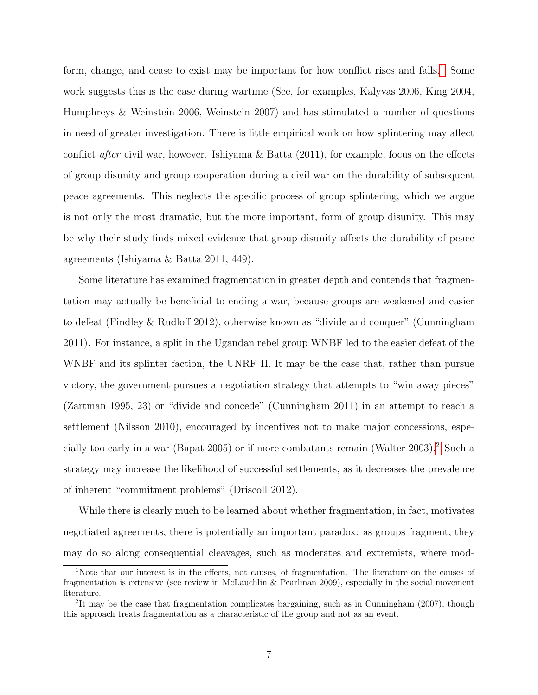form, change, and cease to exist may be important for how conflict rises and falls.<sup>[1](#page-6-0)</sup> Some work suggests this is the case during wartime (See, for examples, Kalyvas 2006, King 2004, Humphreys & Weinstein 2006, Weinstein 2007) and has stimulated a number of questions in need of greater investigation. There is little empirical work on how splintering may affect conflict after civil war, however. Ishiyama & Batta (2011), for example, focus on the effects of group disunity and group cooperation during a civil war on the durability of subsequent peace agreements. This neglects the specific process of group splintering, which we argue is not only the most dramatic, but the more important, form of group disunity. This may be why their study finds mixed evidence that group disunity affects the durability of peace agreements (Ishiyama & Batta 2011, 449).

Some literature has examined fragmentation in greater depth and contends that fragmentation may actually be beneficial to ending a war, because groups are weakened and easier to defeat (Findley & Rudloff 2012), otherwise known as "divide and conquer" (Cunningham 2011). For instance, a split in the Ugandan rebel group WNBF led to the easier defeat of the WNBF and its splinter faction, the UNRF II. It may be the case that, rather than pursue victory, the government pursues a negotiation strategy that attempts to "win away pieces" (Zartman 1995, 23) or "divide and concede" (Cunningham 2011) in an attempt to reach a settlement (Nilsson 2010), encouraged by incentives not to make major concessions, especially too early in a war (Bapat 2005) or if more combatants remain (Walter 2003).[2](#page-6-1) Such a strategy may increase the likelihood of successful settlements, as it decreases the prevalence of inherent "commitment problems" (Driscoll 2012).

While there is clearly much to be learned about whether fragmentation, in fact, motivates negotiated agreements, there is potentially an important paradox: as groups fragment, they may do so along consequential cleavages, such as moderates and extremists, where mod-

<span id="page-6-0"></span><sup>1</sup>Note that our interest is in the effects, not causes, of fragmentation. The literature on the causes of fragmentation is extensive (see review in McLauchlin & Pearlman 2009), especially in the social movement literature.

<span id="page-6-1"></span><sup>&</sup>lt;sup>2</sup>It may be the case that fragmentation complicates bargaining, such as in Cunningham (2007), though this approach treats fragmentation as a characteristic of the group and not as an event.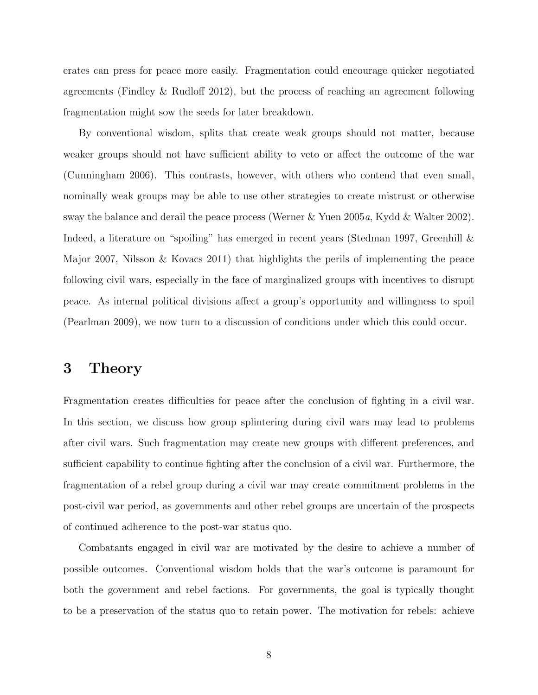erates can press for peace more easily. Fragmentation could encourage quicker negotiated agreements (Findley & Rudloff 2012), but the process of reaching an agreement following fragmentation might sow the seeds for later breakdown.

By conventional wisdom, splits that create weak groups should not matter, because weaker groups should not have sufficient ability to veto or affect the outcome of the war (Cunningham 2006). This contrasts, however, with others who contend that even small, nominally weak groups may be able to use other strategies to create mistrust or otherwise sway the balance and derail the peace process (Werner & Yuen 2005a, Kydd & Walter 2002). Indeed, a literature on "spoiling" has emerged in recent years (Stedman 1997, Greenhill & Major 2007, Nilsson & Kovacs 2011) that highlights the perils of implementing the peace following civil wars, especially in the face of marginalized groups with incentives to disrupt peace. As internal political divisions affect a group's opportunity and willingness to spoil (Pearlman 2009), we now turn to a discussion of conditions under which this could occur.

### 3 Theory

Fragmentation creates difficulties for peace after the conclusion of fighting in a civil war. In this section, we discuss how group splintering during civil wars may lead to problems after civil wars. Such fragmentation may create new groups with different preferences, and sufficient capability to continue fighting after the conclusion of a civil war. Furthermore, the fragmentation of a rebel group during a civil war may create commitment problems in the post-civil war period, as governments and other rebel groups are uncertain of the prospects of continued adherence to the post-war status quo.

Combatants engaged in civil war are motivated by the desire to achieve a number of possible outcomes. Conventional wisdom holds that the war's outcome is paramount for both the government and rebel factions. For governments, the goal is typically thought to be a preservation of the status quo to retain power. The motivation for rebels: achieve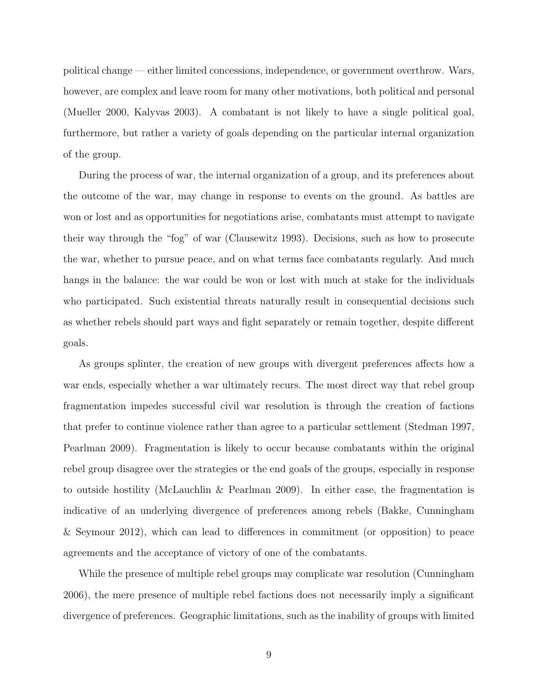political change — either limited concessions, independence, or government overthrow. Wars, however, are complex and leave room for many other motivations, both political and personal (Mueller 2000, Kalyvas 2003). A combatant is not likely to have a single political goal, furthermore, but rather a variety of goals depending on the particular internal organization of the group.

During the process of war, the internal organization of a group, and its preferences about the outcome of the war, may change in response to events on the ground. As battles are won or lost and as opportunities for negotiations arise, combatants must attempt to navigate their way through the "fog" of war (Clausewitz 1993). Decisions, such as how to prosecute the war, whether to pursue peace, and on what terms face combatants regularly. And much hangs in the balance: the war could be won or lost with much at stake for the individuals who participated. Such existential threats naturally result in consequential decisions such as whether rebels should part ways and fight separately or remain together, despite different goals.

As groups splinter, the creation of new groups with divergent preferences affects how a war ends, especially whether a war ultimately recurs. The most direct way that rebel group fragmentation impedes successful civil war resolution is through the creation of factions that prefer to continue violence rather than agree to a particular settlement (Stedman 1997, Pearlman 2009). Fragmentation is likely to occur because combatants within the original rebel group disagree over the strategies or the end goals of the groups, especially in response to outside hostility (McLauchlin & Pearlman 2009). In either case, the fragmentation is indicative of an underlying divergence of preferences among rebels (Bakke, Cunningham & Seymour 2012), which can lead to differences in commitment (or opposition) to peace agreements and the acceptance of victory of one of the combatants.

While the presence of multiple rebel groups may complicate war resolution (Cunningham 2006), the mere presence of multiple rebel factions does not necessarily imply a significant divergence of preferences. Geographic limitations, such as the inability of groups with limited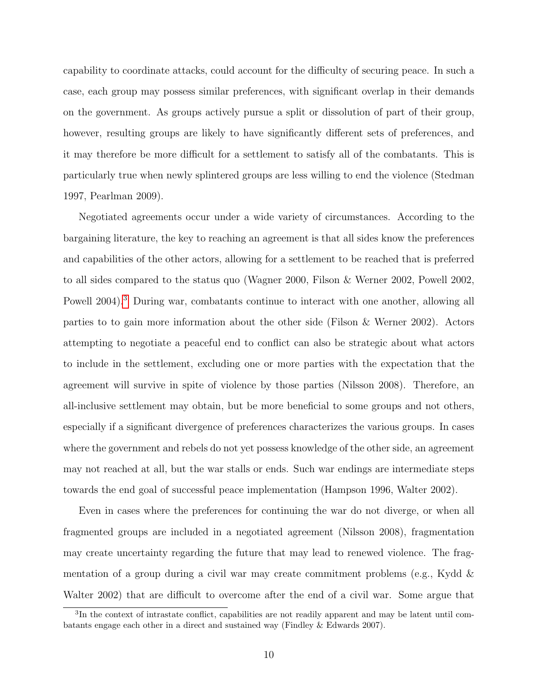capability to coordinate attacks, could account for the difficulty of securing peace. In such a case, each group may possess similar preferences, with significant overlap in their demands on the government. As groups actively pursue a split or dissolution of part of their group, however, resulting groups are likely to have significantly different sets of preferences, and it may therefore be more difficult for a settlement to satisfy all of the combatants. This is particularly true when newly splintered groups are less willing to end the violence (Stedman 1997, Pearlman 2009).

Negotiated agreements occur under a wide variety of circumstances. According to the bargaining literature, the key to reaching an agreement is that all sides know the preferences and capabilities of the other actors, allowing for a settlement to be reached that is preferred to all sides compared to the status quo (Wagner 2000, Filson & Werner 2002, Powell 2002, Powell 2004).<sup>[3](#page-9-0)</sup> During war, combatants continue to interact with one another, allowing all parties to to gain more information about the other side (Filson & Werner 2002). Actors attempting to negotiate a peaceful end to conflict can also be strategic about what actors to include in the settlement, excluding one or more parties with the expectation that the agreement will survive in spite of violence by those parties (Nilsson 2008). Therefore, an all-inclusive settlement may obtain, but be more beneficial to some groups and not others, especially if a significant divergence of preferences characterizes the various groups. In cases where the government and rebels do not yet possess knowledge of the other side, an agreement may not reached at all, but the war stalls or ends. Such war endings are intermediate steps towards the end goal of successful peace implementation (Hampson 1996, Walter 2002).

Even in cases where the preferences for continuing the war do not diverge, or when all fragmented groups are included in a negotiated agreement (Nilsson 2008), fragmentation may create uncertainty regarding the future that may lead to renewed violence. The fragmentation of a group during a civil war may create commitment problems (e.g., Kydd  $\&$ Walter 2002) that are difficult to overcome after the end of a civil war. Some argue that

<span id="page-9-0"></span><sup>&</sup>lt;sup>3</sup>In the context of intrastate conflict, capabilities are not readily apparent and may be latent until combatants engage each other in a direct and sustained way (Findley & Edwards 2007).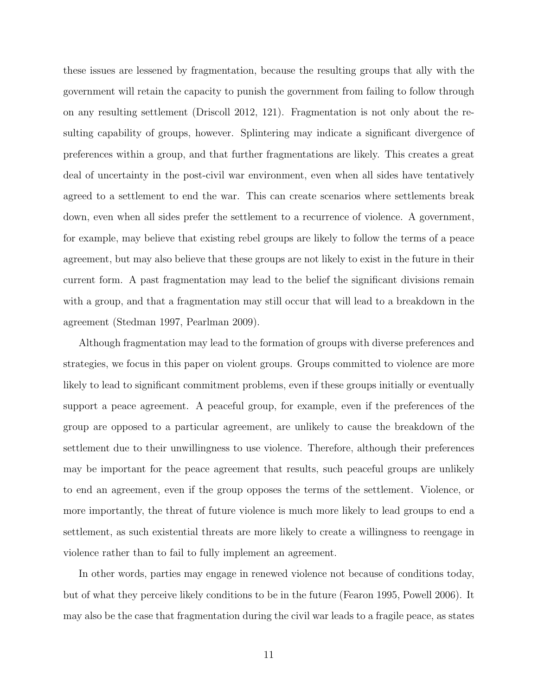these issues are lessened by fragmentation, because the resulting groups that ally with the government will retain the capacity to punish the government from failing to follow through on any resulting settlement (Driscoll 2012, 121). Fragmentation is not only about the resulting capability of groups, however. Splintering may indicate a significant divergence of preferences within a group, and that further fragmentations are likely. This creates a great deal of uncertainty in the post-civil war environment, even when all sides have tentatively agreed to a settlement to end the war. This can create scenarios where settlements break down, even when all sides prefer the settlement to a recurrence of violence. A government, for example, may believe that existing rebel groups are likely to follow the terms of a peace agreement, but may also believe that these groups are not likely to exist in the future in their current form. A past fragmentation may lead to the belief the significant divisions remain with a group, and that a fragmentation may still occur that will lead to a breakdown in the agreement (Stedman 1997, Pearlman 2009).

Although fragmentation may lead to the formation of groups with diverse preferences and strategies, we focus in this paper on violent groups. Groups committed to violence are more likely to lead to significant commitment problems, even if these groups initially or eventually support a peace agreement. A peaceful group, for example, even if the preferences of the group are opposed to a particular agreement, are unlikely to cause the breakdown of the settlement due to their unwillingness to use violence. Therefore, although their preferences may be important for the peace agreement that results, such peaceful groups are unlikely to end an agreement, even if the group opposes the terms of the settlement. Violence, or more importantly, the threat of future violence is much more likely to lead groups to end a settlement, as such existential threats are more likely to create a willingness to reengage in violence rather than to fail to fully implement an agreement.

In other words, parties may engage in renewed violence not because of conditions today, but of what they perceive likely conditions to be in the future (Fearon 1995, Powell 2006). It may also be the case that fragmentation during the civil war leads to a fragile peace, as states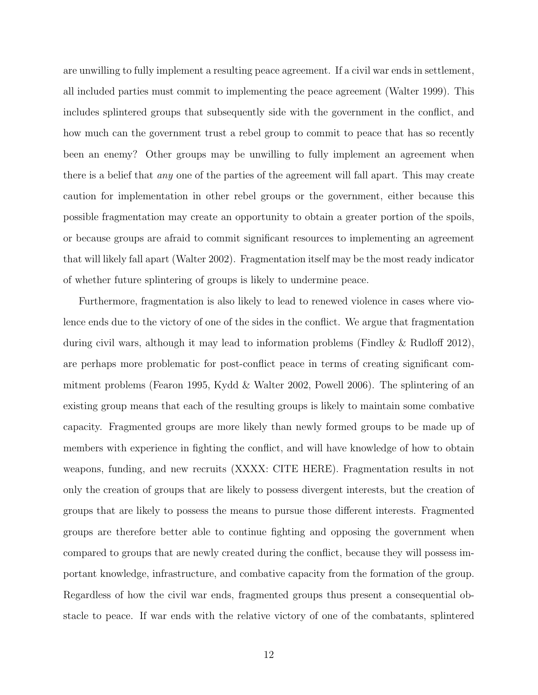are unwilling to fully implement a resulting peace agreement. If a civil war ends in settlement, all included parties must commit to implementing the peace agreement (Walter 1999). This includes splintered groups that subsequently side with the government in the conflict, and how much can the government trust a rebel group to commit to peace that has so recently been an enemy? Other groups may be unwilling to fully implement an agreement when there is a belief that any one of the parties of the agreement will fall apart. This may create caution for implementation in other rebel groups or the government, either because this possible fragmentation may create an opportunity to obtain a greater portion of the spoils, or because groups are afraid to commit significant resources to implementing an agreement that will likely fall apart (Walter 2002). Fragmentation itself may be the most ready indicator of whether future splintering of groups is likely to undermine peace.

Furthermore, fragmentation is also likely to lead to renewed violence in cases where violence ends due to the victory of one of the sides in the conflict. We argue that fragmentation during civil wars, although it may lead to information problems (Findley & Rudloff 2012), are perhaps more problematic for post-conflict peace in terms of creating significant commitment problems (Fearon 1995, Kydd & Walter 2002, Powell 2006). The splintering of an existing group means that each of the resulting groups is likely to maintain some combative capacity. Fragmented groups are more likely than newly formed groups to be made up of members with experience in fighting the conflict, and will have knowledge of how to obtain weapons, funding, and new recruits (XXXX: CITE HERE). Fragmentation results in not only the creation of groups that are likely to possess divergent interests, but the creation of groups that are likely to possess the means to pursue those different interests. Fragmented groups are therefore better able to continue fighting and opposing the government when compared to groups that are newly created during the conflict, because they will possess important knowledge, infrastructure, and combative capacity from the formation of the group. Regardless of how the civil war ends, fragmented groups thus present a consequential obstacle to peace. If war ends with the relative victory of one of the combatants, splintered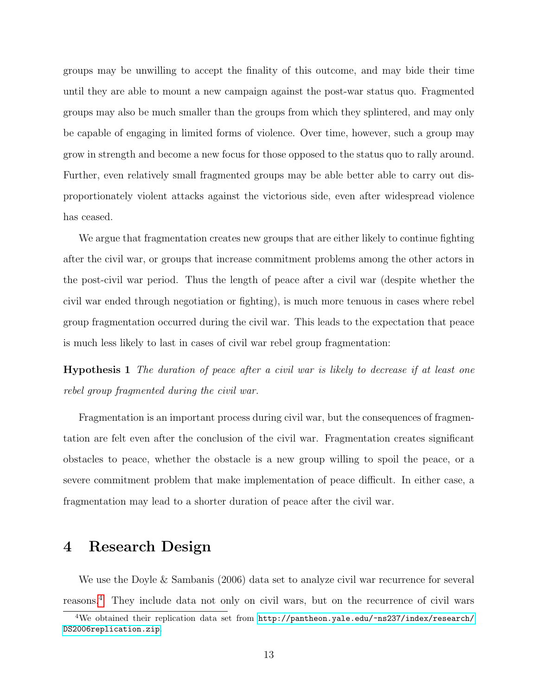groups may be unwilling to accept the finality of this outcome, and may bide their time until they are able to mount a new campaign against the post-war status quo. Fragmented groups may also be much smaller than the groups from which they splintered, and may only be capable of engaging in limited forms of violence. Over time, however, such a group may grow in strength and become a new focus for those opposed to the status quo to rally around. Further, even relatively small fragmented groups may be able better able to carry out disproportionately violent attacks against the victorious side, even after widespread violence has ceased.

We argue that fragmentation creates new groups that are either likely to continue fighting after the civil war, or groups that increase commitment problems among the other actors in the post-civil war period. Thus the length of peace after a civil war (despite whether the civil war ended through negotiation or fighting), is much more tenuous in cases where rebel group fragmentation occurred during the civil war. This leads to the expectation that peace is much less likely to last in cases of civil war rebel group fragmentation:

<span id="page-12-1"></span>Hypothesis 1 The duration of peace after a civil war is likely to decrease if at least one rebel group fragmented during the civil war.

Fragmentation is an important process during civil war, but the consequences of fragmentation are felt even after the conclusion of the civil war. Fragmentation creates significant obstacles to peace, whether the obstacle is a new group willing to spoil the peace, or a severe commitment problem that make implementation of peace difficult. In either case, a fragmentation may lead to a shorter duration of peace after the civil war.

# 4 Research Design

We use the Doyle & Sambanis (2006) data set to analyze civil war recurrence for several reasons.[4](#page-12-0) They include data not only on civil wars, but on the recurrence of civil wars

<span id="page-12-0"></span><sup>&</sup>lt;sup>4</sup>We obtained their replication data set from [http://pantheon.yale.edu/~ns237/index/research/](http://pantheon.yale.edu/~ns237/index/research/DS2006replication.zip) [DS2006replication.zip](http://pantheon.yale.edu/~ns237/index/research/DS2006replication.zip).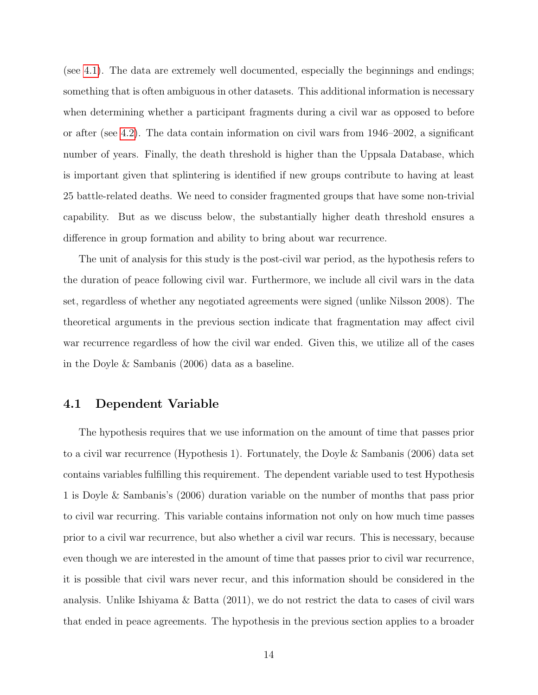(see [4.1\)](#page-13-0). The data are extremely well documented, especially the beginnings and endings; something that is often ambiguous in other datasets. This additional information is necessary when determining whether a participant fragments during a civil war as opposed to before or after (see [4.2\)](#page-14-0). The data contain information on civil wars from 1946–2002, a significant number of years. Finally, the death threshold is higher than the Uppsala Database, which is important given that splintering is identified if new groups contribute to having at least 25 battle-related deaths. We need to consider fragmented groups that have some non-trivial capability. But as we discuss below, the substantially higher death threshold ensures a difference in group formation and ability to bring about war recurrence.

The unit of analysis for this study is the post-civil war period, as the hypothesis refers to the duration of peace following civil war. Furthermore, we include all civil wars in the data set, regardless of whether any negotiated agreements were signed (unlike Nilsson 2008). The theoretical arguments in the previous section indicate that fragmentation may affect civil war recurrence regardless of how the civil war ended. Given this, we utilize all of the cases in the Doyle & Sambanis (2006) data as a baseline.

#### <span id="page-13-0"></span>4.1 Dependent Variable

The hypothesis requires that we use information on the amount of time that passes prior to a civil war recurrence (Hypothesis 1). Fortunately, the Doyle & Sambanis (2006) data set contains variables fulfilling this requirement. The dependent variable used to test Hypothesis 1 is Doyle & Sambanis's (2006) duration variable on the number of months that pass prior to civil war recurring. This variable contains information not only on how much time passes prior to a civil war recurrence, but also whether a civil war recurs. This is necessary, because even though we are interested in the amount of time that passes prior to civil war recurrence, it is possible that civil wars never recur, and this information should be considered in the analysis. Unlike Ishiyama & Batta (2011), we do not restrict the data to cases of civil wars that ended in peace agreements. The hypothesis in the previous section applies to a broader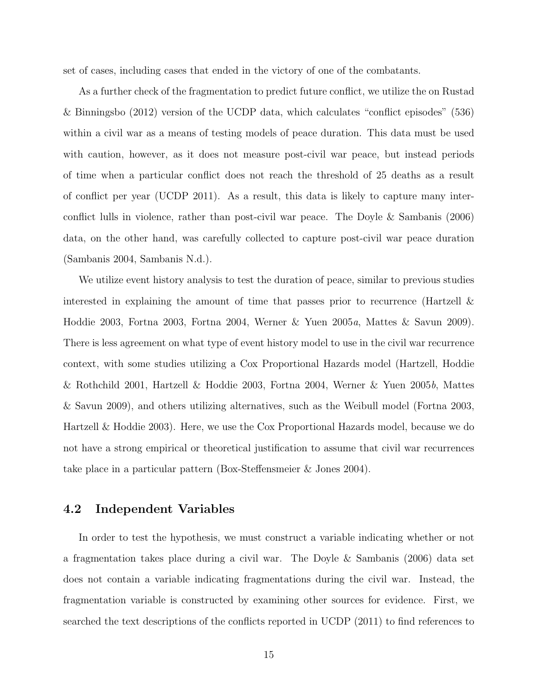set of cases, including cases that ended in the victory of one of the combatants.

As a further check of the fragmentation to predict future conflict, we utilize the on Rustad & Binningsbo (2012) version of the UCDP data, which calculates "conflict episodes" (536) within a civil war as a means of testing models of peace duration. This data must be used with caution, however, as it does not measure post-civil war peace, but instead periods of time when a particular conflict does not reach the threshold of 25 deaths as a result of conflict per year (UCDP 2011). As a result, this data is likely to capture many interconflict lulls in violence, rather than post-civil war peace. The Doyle & Sambanis (2006) data, on the other hand, was carefully collected to capture post-civil war peace duration (Sambanis 2004, Sambanis N.d.).

We utilize event history analysis to test the duration of peace, similar to previous studies interested in explaining the amount of time that passes prior to recurrence (Hartzell  $\&$ Hoddie 2003, Fortna 2003, Fortna 2004, Werner & Yuen 2005a, Mattes & Savun 2009). There is less agreement on what type of event history model to use in the civil war recurrence context, with some studies utilizing a Cox Proportional Hazards model (Hartzell, Hoddie & Rothchild 2001, Hartzell & Hoddie 2003, Fortna 2004, Werner & Yuen 2005b, Mattes & Savun 2009), and others utilizing alternatives, such as the Weibull model (Fortna 2003, Hartzell & Hoddie 2003). Here, we use the Cox Proportional Hazards model, because we do not have a strong empirical or theoretical justification to assume that civil war recurrences take place in a particular pattern (Box-Steffensmeier & Jones 2004).

### <span id="page-14-0"></span>4.2 Independent Variables

In order to test the hypothesis, we must construct a variable indicating whether or not a fragmentation takes place during a civil war. The Doyle & Sambanis (2006) data set does not contain a variable indicating fragmentations during the civil war. Instead, the fragmentation variable is constructed by examining other sources for evidence. First, we searched the text descriptions of the conflicts reported in UCDP (2011) to find references to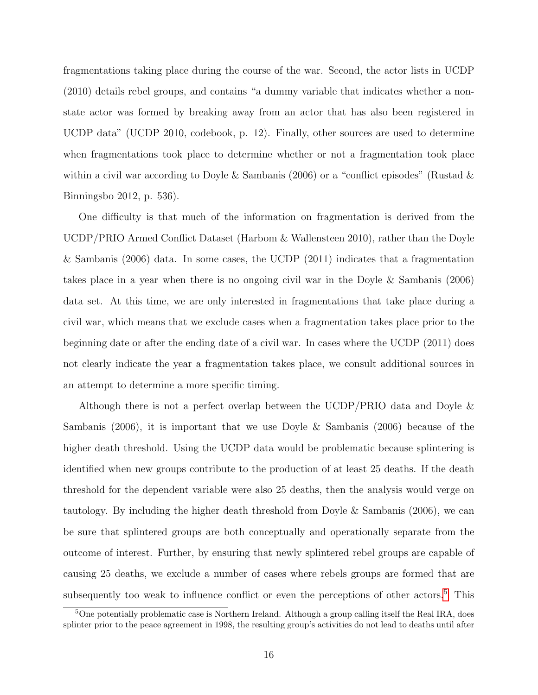fragmentations taking place during the course of the war. Second, the actor lists in UCDP (2010) details rebel groups, and contains "a dummy variable that indicates whether a nonstate actor was formed by breaking away from an actor that has also been registered in UCDP data" (UCDP 2010, codebook, p. 12). Finally, other sources are used to determine when fragmentations took place to determine whether or not a fragmentation took place within a civil war according to Doyle & Sambanis (2006) or a "conflict episodes" (Rustad  $\&$ Binningsbo 2012, p. 536).

One difficulty is that much of the information on fragmentation is derived from the UCDP/PRIO Armed Conflict Dataset (Harbom & Wallensteen 2010), rather than the Doyle & Sambanis (2006) data. In some cases, the UCDP (2011) indicates that a fragmentation takes place in a year when there is no ongoing civil war in the Doyle & Sambanis (2006) data set. At this time, we are only interested in fragmentations that take place during a civil war, which means that we exclude cases when a fragmentation takes place prior to the beginning date or after the ending date of a civil war. In cases where the UCDP (2011) does not clearly indicate the year a fragmentation takes place, we consult additional sources in an attempt to determine a more specific timing.

Although there is not a perfect overlap between the UCDP/PRIO data and Doyle & Sambanis (2006), it is important that we use Doyle & Sambanis (2006) because of the higher death threshold. Using the UCDP data would be problematic because splintering is identified when new groups contribute to the production of at least 25 deaths. If the death threshold for the dependent variable were also 25 deaths, then the analysis would verge on tautology. By including the higher death threshold from Doyle & Sambanis (2006), we can be sure that splintered groups are both conceptually and operationally separate from the outcome of interest. Further, by ensuring that newly splintered rebel groups are capable of causing 25 deaths, we exclude a number of cases where rebels groups are formed that are subsequently too weak to influence conflict or even the perceptions of other actors.<sup>[5](#page-15-0)</sup> This

<span id="page-15-0"></span><sup>&</sup>lt;sup>5</sup>One potentially problematic case is Northern Ireland. Although a group calling itself the Real IRA, does splinter prior to the peace agreement in 1998, the resulting group's activities do not lead to deaths until after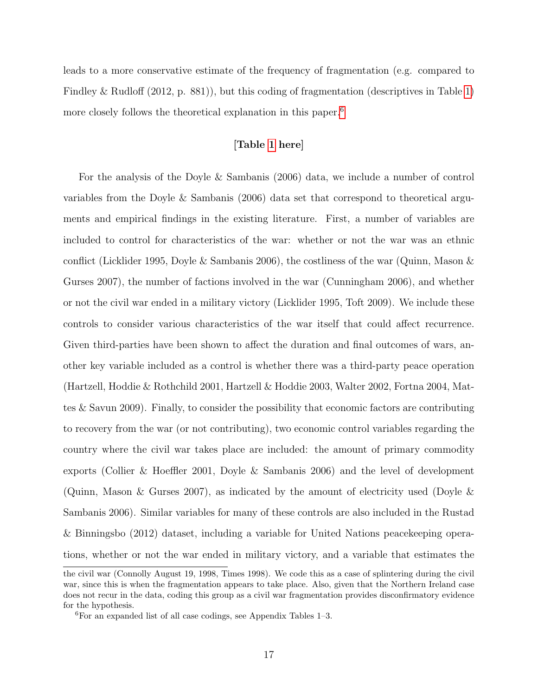leads to a more conservative estimate of the frequency of fragmentation (e.g. compared to Findley & Rudloff (2012, p. 881)), but this coding of fragmentation (descriptives in Table [1\)](#page-31-0) more closely follows the theoretical explanation in this paper.<sup>[6](#page-16-0)</sup>

#### [Table [1](#page-31-0) here]

For the analysis of the Doyle & Sambanis (2006) data, we include a number of control variables from the Doyle & Sambanis (2006) data set that correspond to theoretical arguments and empirical findings in the existing literature. First, a number of variables are included to control for characteristics of the war: whether or not the war was an ethnic conflict (Licklider 1995, Doyle & Sambanis 2006), the costliness of the war (Quinn, Mason  $\&$ Gurses 2007), the number of factions involved in the war (Cunningham 2006), and whether or not the civil war ended in a military victory (Licklider 1995, Toft 2009). We include these controls to consider various characteristics of the war itself that could affect recurrence. Given third-parties have been shown to affect the duration and final outcomes of wars, another key variable included as a control is whether there was a third-party peace operation (Hartzell, Hoddie & Rothchild 2001, Hartzell & Hoddie 2003, Walter 2002, Fortna 2004, Mattes & Savun 2009). Finally, to consider the possibility that economic factors are contributing to recovery from the war (or not contributing), two economic control variables regarding the country where the civil war takes place are included: the amount of primary commodity exports (Collier & Hoeffler 2001, Doyle & Sambanis 2006) and the level of development (Quinn, Mason & Gurses 2007), as indicated by the amount of electricity used (Doyle  $\&$ Sambanis 2006). Similar variables for many of these controls are also included in the Rustad & Binningsbo (2012) dataset, including a variable for United Nations peacekeeping operations, whether or not the war ended in military victory, and a variable that estimates the

the civil war (Connolly August 19, 1998, Times 1998). We code this as a case of splintering during the civil war, since this is when the fragmentation appears to take place. Also, given that the Northern Ireland case does not recur in the data, coding this group as a civil war fragmentation provides disconfirmatory evidence for the hypothesis.

<span id="page-16-0"></span><sup>6</sup>For an expanded list of all case codings, see Appendix Tables 1–3.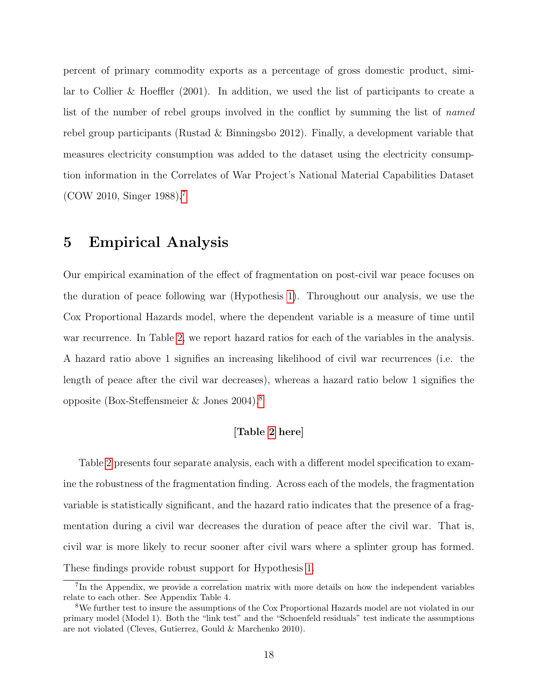percent of primary commodity exports as a percentage of gross domestic product, similar to Collier & Hoeffler (2001). In addition, we used the list of participants to create a list of the number of rebel groups involved in the conflict by summing the list of named rebel group participants (Rustad & Binningsbo 2012). Finally, a development variable that measures electricity consumption was added to the dataset using the electricity consumption information in the Correlates of War Project's National Material Capabilities Dataset (COW 2010, Singer 1988).[7](#page-17-0)

### 5 Empirical Analysis

Our empirical examination of the effect of fragmentation on post-civil war peace focuses on the duration of peace following war (Hypothesis [1\)](#page-12-1). Throughout our analysis, we use the Cox Proportional Hazards model, where the dependent variable is a measure of time until war recurrence. In Table [2,](#page-33-0) we report hazard ratios for each of the variables in the analysis. A hazard ratio above 1 signifies an increasing likelihood of civil war recurrences (i.e. the length of peace after the civil war decreases), whereas a hazard ratio below 1 signifies the opposite (Box-Steffensmeier & Jones 2004).[8](#page-17-1)

### [Table [2](#page-33-0) here]

Table [2](#page-33-0) presents four separate analysis, each with a different model specification to examine the robustness of the fragmentation finding. Across each of the models, the fragmentation variable is statistically significant, and the hazard ratio indicates that the presence of a fragmentation during a civil war decreases the duration of peace after the civil war. That is, civil war is more likely to recur sooner after civil wars where a splinter group has formed. These findings provide robust support for Hypothesis [1.](#page-12-1)

<span id="page-17-0"></span><sup>7</sup> In the Appendix, we provide a correlation matrix with more details on how the independent variables relate to each other. See Appendix Table 4.

<span id="page-17-1"></span><sup>8</sup>We further test to insure the assumptions of the Cox Proportional Hazards model are not violated in our primary model (Model 1). Both the "link test" and the "Schoenfeld residuals" test indicate the assumptions are not violated (Cleves, Gutierrez, Gould & Marchenko 2010).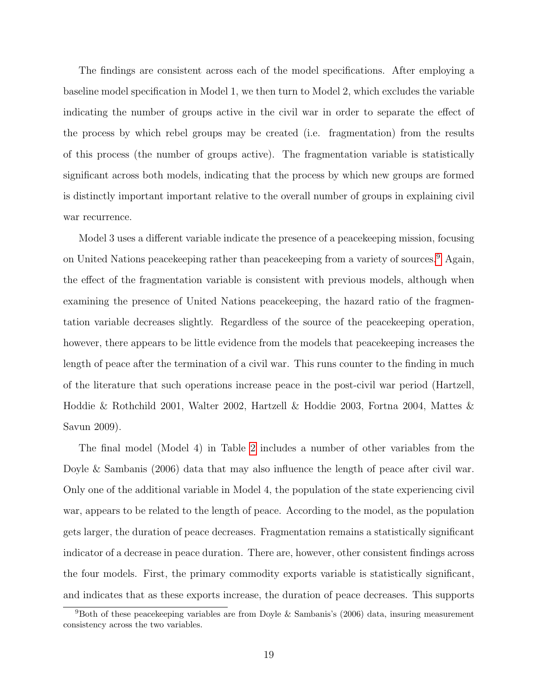The findings are consistent across each of the model specifications. After employing a baseline model specification in Model 1, we then turn to Model 2, which excludes the variable indicating the number of groups active in the civil war in order to separate the effect of the process by which rebel groups may be created (i.e. fragmentation) from the results of this process (the number of groups active). The fragmentation variable is statistically significant across both models, indicating that the process by which new groups are formed is distinctly important important relative to the overall number of groups in explaining civil war recurrence.

Model 3 uses a different variable indicate the presence of a peacekeeping mission, focusing on United Nations peacekeeping rather than peacekeeping from a variety of sources.[9](#page-18-0) Again, the effect of the fragmentation variable is consistent with previous models, although when examining the presence of United Nations peacekeeping, the hazard ratio of the fragmentation variable decreases slightly. Regardless of the source of the peacekeeping operation, however, there appears to be little evidence from the models that peacekeeping increases the length of peace after the termination of a civil war. This runs counter to the finding in much of the literature that such operations increase peace in the post-civil war period (Hartzell, Hoddie & Rothchild 2001, Walter 2002, Hartzell & Hoddie 2003, Fortna 2004, Mattes & Savun 2009).

The final model (Model 4) in Table [2](#page-33-0) includes a number of other variables from the Doyle & Sambanis (2006) data that may also influence the length of peace after civil war. Only one of the additional variable in Model 4, the population of the state experiencing civil war, appears to be related to the length of peace. According to the model, as the population gets larger, the duration of peace decreases. Fragmentation remains a statistically significant indicator of a decrease in peace duration. There are, however, other consistent findings across the four models. First, the primary commodity exports variable is statistically significant, and indicates that as these exports increase, the duration of peace decreases. This supports

<span id="page-18-0"></span><sup>&</sup>lt;sup>9</sup>Both of these peacekeeping variables are from Doyle & Sambanis's (2006) data, insuring measurement consistency across the two variables.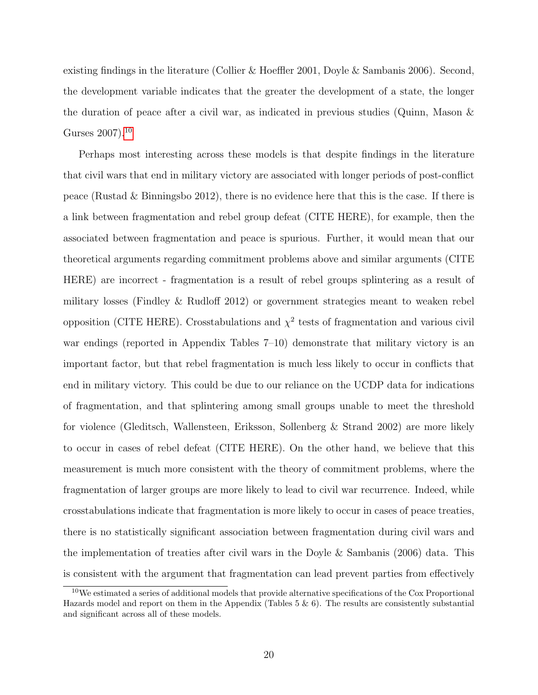existing findings in the literature (Collier & Hoeffler 2001, Doyle & Sambanis 2006). Second, the development variable indicates that the greater the development of a state, the longer the duration of peace after a civil war, as indicated in previous studies (Quinn, Mason & Gurses 2007).<sup>[10](#page-19-0)</sup>

Perhaps most interesting across these models is that despite findings in the literature that civil wars that end in military victory are associated with longer periods of post-conflict peace (Rustad & Binningsbo 2012), there is no evidence here that this is the case. If there is a link between fragmentation and rebel group defeat (CITE HERE), for example, then the associated between fragmentation and peace is spurious. Further, it would mean that our theoretical arguments regarding commitment problems above and similar arguments (CITE HERE) are incorrect - fragmentation is a result of rebel groups splintering as a result of military losses (Findley & Rudloff 2012) or government strategies meant to weaken rebel opposition (CITE HERE). Crosstabulations and  $\chi^2$  tests of fragmentation and various civil war endings (reported in Appendix Tables 7–10) demonstrate that military victory is an important factor, but that rebel fragmentation is much less likely to occur in conflicts that end in military victory. This could be due to our reliance on the UCDP data for indications of fragmentation, and that splintering among small groups unable to meet the threshold for violence (Gleditsch, Wallensteen, Eriksson, Sollenberg & Strand 2002) are more likely to occur in cases of rebel defeat (CITE HERE). On the other hand, we believe that this measurement is much more consistent with the theory of commitment problems, where the fragmentation of larger groups are more likely to lead to civil war recurrence. Indeed, while crosstabulations indicate that fragmentation is more likely to occur in cases of peace treaties, there is no statistically significant association between fragmentation during civil wars and the implementation of treaties after civil wars in the Doyle & Sambanis (2006) data. This is consistent with the argument that fragmentation can lead prevent parties from effectively

<span id="page-19-0"></span><sup>10</sup>We estimated a series of additional models that provide alternative specifications of the Cox Proportional Hazards model and report on them in the Appendix (Tables  $5 \& 6$ ). The results are consistently substantial and significant across all of these models.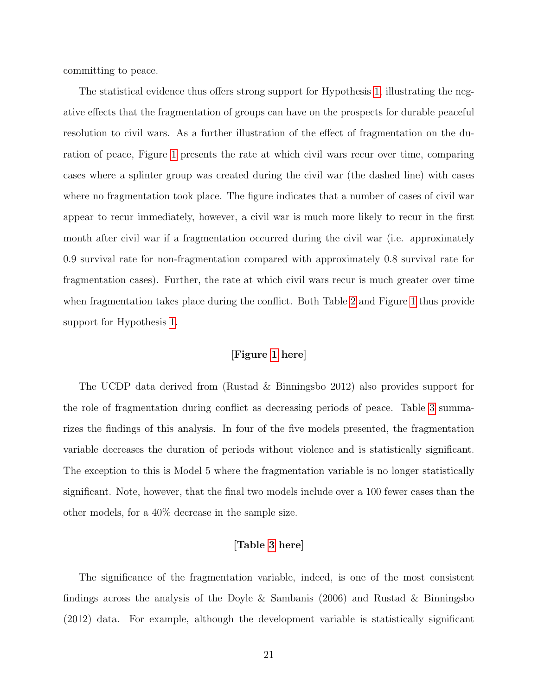committing to peace.

The statistical evidence thus offers strong support for Hypothesis [1,](#page-12-1) illustrating the negative effects that the fragmentation of groups can have on the prospects for durable peaceful resolution to civil wars. As a further illustration of the effect of fragmentation on the duration of peace, Figure [1](#page-32-0) presents the rate at which civil wars recur over time, comparing cases where a splinter group was created during the civil war (the dashed line) with cases where no fragmentation took place. The figure indicates that a number of cases of civil war appear to recur immediately, however, a civil war is much more likely to recur in the first month after civil war if a fragmentation occurred during the civil war (i.e. approximately 0.9 survival rate for non-fragmentation compared with approximately 0.8 survival rate for fragmentation cases). Further, the rate at which civil wars recur is much greater over time when fragmentation takes place during the conflict. Both Table [2](#page-33-0) and Figure [1](#page-32-0) thus provide support for Hypothesis [1.](#page-12-1)

#### [Figure [1](#page-32-0) here]

The UCDP data derived from (Rustad & Binningsbo 2012) also provides support for the role of fragmentation during conflict as decreasing periods of peace. Table [3](#page-34-0) summarizes the findings of this analysis. In four of the five models presented, the fragmentation variable decreases the duration of periods without violence and is statistically significant. The exception to this is Model 5 where the fragmentation variable is no longer statistically significant. Note, however, that the final two models include over a 100 fewer cases than the other models, for a 40% decrease in the sample size.

#### [Table [3](#page-34-0) here]

The significance of the fragmentation variable, indeed, is one of the most consistent findings across the analysis of the Doyle & Sambanis (2006) and Rustad & Binningsbo (2012) data. For example, although the development variable is statistically significant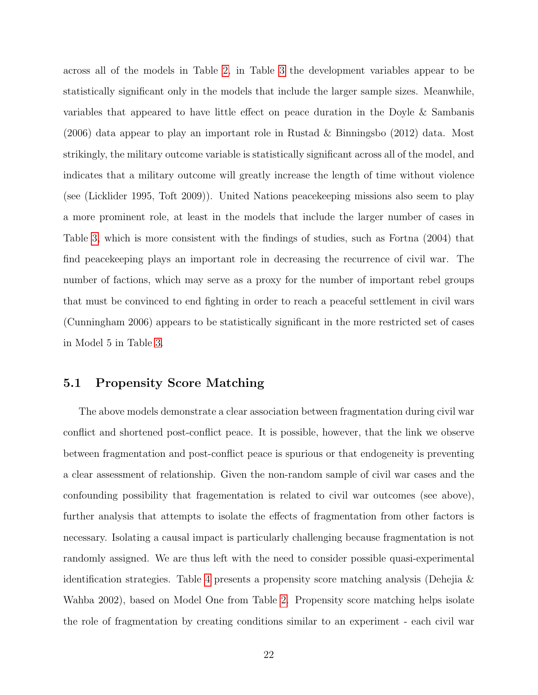across all of the models in Table [2,](#page-33-0) in Table [3](#page-34-0) the development variables appear to be statistically significant only in the models that include the larger sample sizes. Meanwhile, variables that appeared to have little effect on peace duration in the Doyle & Sambanis (2006) data appear to play an important role in Rustad & Binningsbo (2012) data. Most strikingly, the military outcome variable is statistically significant across all of the model, and indicates that a military outcome will greatly increase the length of time without violence (see (Licklider 1995, Toft 2009)). United Nations peacekeeping missions also seem to play a more prominent role, at least in the models that include the larger number of cases in Table [3,](#page-34-0) which is more consistent with the findings of studies, such as Fortna (2004) that find peacekeeping plays an important role in decreasing the recurrence of civil war. The number of factions, which may serve as a proxy for the number of important rebel groups that must be convinced to end fighting in order to reach a peaceful settlement in civil wars (Cunningham 2006) appears to be statistically significant in the more restricted set of cases in Model 5 in Table [3.](#page-34-0)

### 5.1 Propensity Score Matching

The above models demonstrate a clear association between fragmentation during civil war conflict and shortened post-conflict peace. It is possible, however, that the link we observe between fragmentation and post-conflict peace is spurious or that endogeneity is preventing a clear assessment of relationship. Given the non-random sample of civil war cases and the confounding possibility that fragementation is related to civil war outcomes (see above), further analysis that attempts to isolate the effects of fragmentation from other factors is necessary. Isolating a causal impact is particularly challenging because fragmentation is not randomly assigned. We are thus left with the need to consider possible quasi-experimental identification strategies. Table [4](#page-35-0) presents a propensity score matching analysis (Dehejia & Wahba 2002), based on Model One from Table [2.](#page-33-0) Propensity score matching helps isolate the role of fragmentation by creating conditions similar to an experiment - each civil war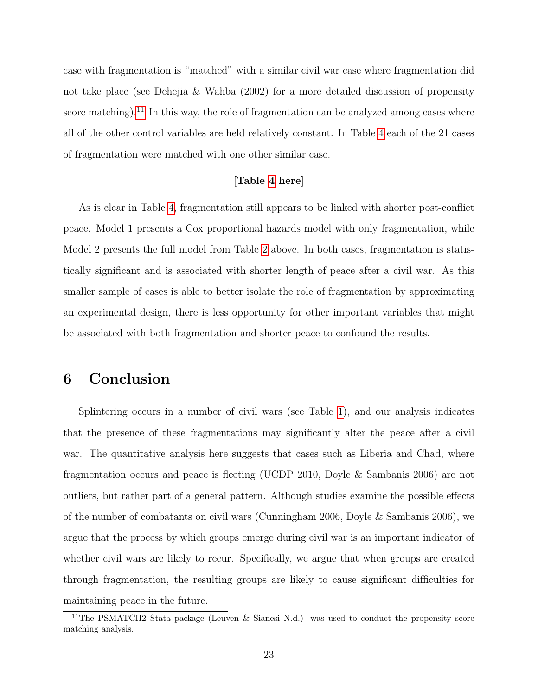case with fragmentation is "matched" with a similar civil war case where fragmentation did not take place (see Dehejia & Wahba (2002) for a more detailed discussion of propensity score matching).<sup>[11](#page-22-0)</sup> In this way, the role of fragmentation can be analyzed among cases where all of the other control variables are held relatively constant. In Table [4](#page-35-0) each of the 21 cases of fragmentation were matched with one other similar case.

#### [Table [4](#page-35-0) here]

As is clear in Table [4,](#page-35-0) fragmentation still appears to be linked with shorter post-conflict peace. Model 1 presents a Cox proportional hazards model with only fragmentation, while Model 2 presents the full model from Table [2](#page-33-0) above. In both cases, fragmentation is statistically significant and is associated with shorter length of peace after a civil war. As this smaller sample of cases is able to better isolate the role of fragmentation by approximating an experimental design, there is less opportunity for other important variables that might be associated with both fragmentation and shorter peace to confound the results.

# 6 Conclusion

Splintering occurs in a number of civil wars (see Table [1\)](#page-31-0), and our analysis indicates that the presence of these fragmentations may significantly alter the peace after a civil war. The quantitative analysis here suggests that cases such as Liberia and Chad, where fragmentation occurs and peace is fleeting (UCDP 2010, Doyle & Sambanis 2006) are not outliers, but rather part of a general pattern. Although studies examine the possible effects of the number of combatants on civil wars (Cunningham 2006, Doyle & Sambanis 2006), we argue that the process by which groups emerge during civil war is an important indicator of whether civil wars are likely to recur. Specifically, we argue that when groups are created through fragmentation, the resulting groups are likely to cause significant difficulties for maintaining peace in the future.

<span id="page-22-0"></span><sup>&</sup>lt;sup>11</sup>The PSMATCH2 Stata package (Leuven & Sianesi N.d.) was used to conduct the propensity score matching analysis.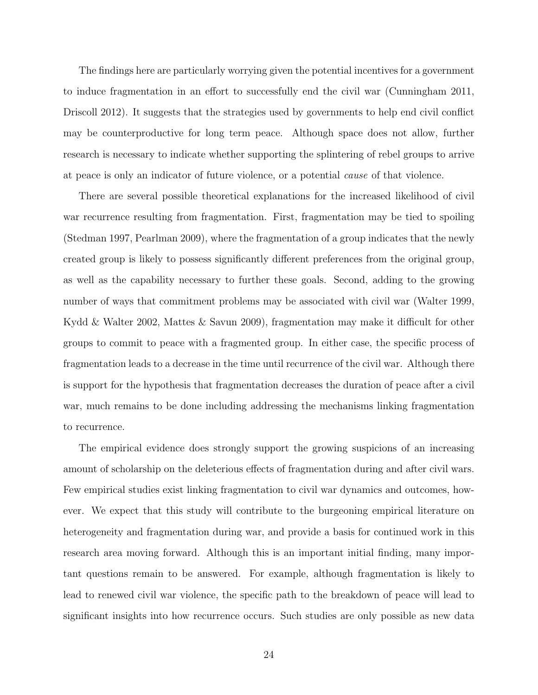The findings here are particularly worrying given the potential incentives for a government to induce fragmentation in an effort to successfully end the civil war (Cunningham 2011, Driscoll 2012). It suggests that the strategies used by governments to help end civil conflict may be counterproductive for long term peace. Although space does not allow, further research is necessary to indicate whether supporting the splintering of rebel groups to arrive at peace is only an indicator of future violence, or a potential cause of that violence.

There are several possible theoretical explanations for the increased likelihood of civil war recurrence resulting from fragmentation. First, fragmentation may be tied to spoiling (Stedman 1997, Pearlman 2009), where the fragmentation of a group indicates that the newly created group is likely to possess significantly different preferences from the original group, as well as the capability necessary to further these goals. Second, adding to the growing number of ways that commitment problems may be associated with civil war (Walter 1999, Kydd & Walter 2002, Mattes & Savun 2009), fragmentation may make it difficult for other groups to commit to peace with a fragmented group. In either case, the specific process of fragmentation leads to a decrease in the time until recurrence of the civil war. Although there is support for the hypothesis that fragmentation decreases the duration of peace after a civil war, much remains to be done including addressing the mechanisms linking fragmentation to recurrence.

The empirical evidence does strongly support the growing suspicions of an increasing amount of scholarship on the deleterious effects of fragmentation during and after civil wars. Few empirical studies exist linking fragmentation to civil war dynamics and outcomes, however. We expect that this study will contribute to the burgeoning empirical literature on heterogeneity and fragmentation during war, and provide a basis for continued work in this research area moving forward. Although this is an important initial finding, many important questions remain to be answered. For example, although fragmentation is likely to lead to renewed civil war violence, the specific path to the breakdown of peace will lead to significant insights into how recurrence occurs. Such studies are only possible as new data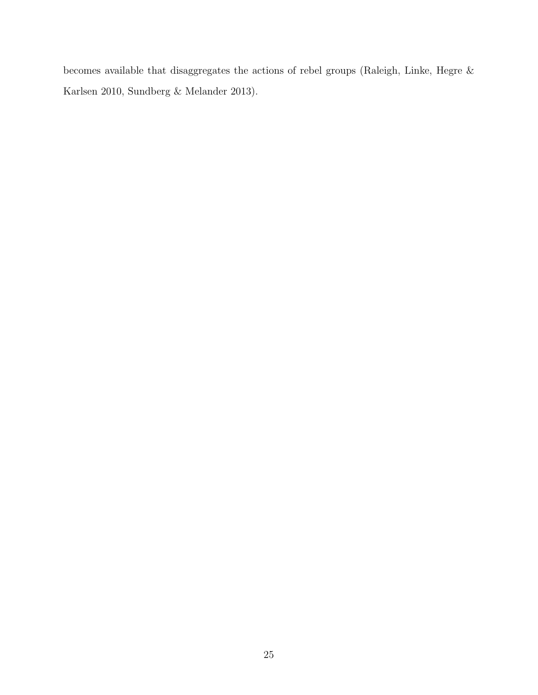becomes available that disaggregates the actions of rebel groups (Raleigh, Linke, Hegre & Karlsen 2010, Sundberg & Melander 2013).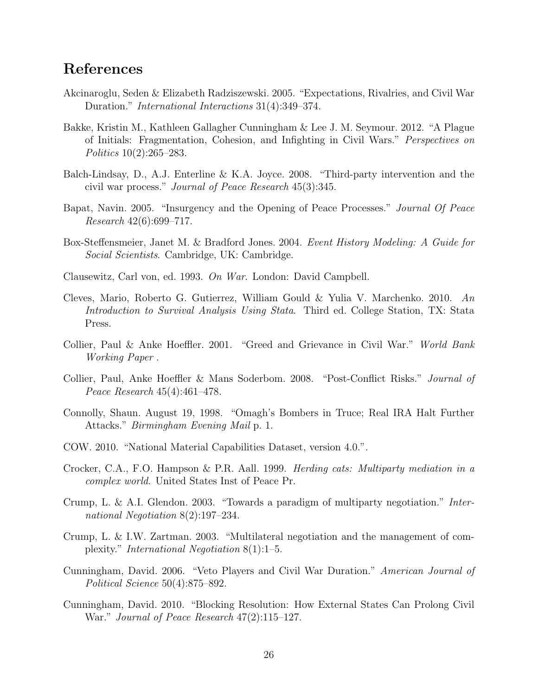# References

- Akcinaroglu, Seden & Elizabeth Radziszewski. 2005. "Expectations, Rivalries, and Civil War Duration." International Interactions 31(4):349–374.
- Bakke, Kristin M., Kathleen Gallagher Cunningham & Lee J. M. Seymour. 2012. "A Plague of Initials: Fragmentation, Cohesion, and Infighting in Civil Wars." Perspectives on Politics 10(2):265–283.
- Balch-Lindsay, D., A.J. Enterline & K.A. Joyce. 2008. "Third-party intervention and the civil war process." Journal of Peace Research 45(3):345.
- Bapat, Navin. 2005. "Insurgency and the Opening of Peace Processes." Journal Of Peace Research 42(6):699–717.
- Box-Steffensmeier, Janet M. & Bradford Jones. 2004. Event History Modeling: A Guide for Social Scientists. Cambridge, UK: Cambridge.
- Clausewitz, Carl von, ed. 1993. On War. London: David Campbell.
- Cleves, Mario, Roberto G. Gutierrez, William Gould & Yulia V. Marchenko. 2010. An Introduction to Survival Analysis Using Stata. Third ed. College Station, TX: Stata Press.
- Collier, Paul & Anke Hoeffler. 2001. "Greed and Grievance in Civil War." World Bank Working Paper .
- Collier, Paul, Anke Hoeffler & Mans Soderbom. 2008. "Post-Conflict Risks." Journal of Peace Research 45(4):461–478.
- Connolly, Shaun. August 19, 1998. "Omagh's Bombers in Truce; Real IRA Halt Further Attacks." Birmingham Evening Mail p. 1.
- COW. 2010. "National Material Capabilities Dataset, version 4.0.".
- Crocker, C.A., F.O. Hampson & P.R. Aall. 1999. Herding cats: Multiparty mediation in a complex world. United States Inst of Peace Pr.
- Crump, L. & A.I. Glendon. 2003. "Towards a paradigm of multiparty negotiation." International Negotiation 8(2):197–234.
- Crump, L. & I.W. Zartman. 2003. "Multilateral negotiation and the management of complexity." International Negotiation 8(1):1–5.
- Cunningham, David. 2006. "Veto Players and Civil War Duration." American Journal of Political Science 50(4):875–892.
- Cunningham, David. 2010. "Blocking Resolution: How External States Can Prolong Civil War." Journal of Peace Research 47(2):115–127.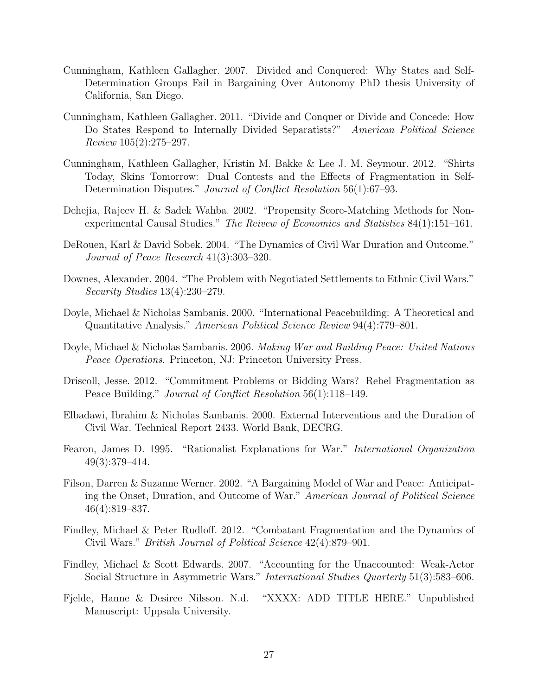- Cunningham, Kathleen Gallagher. 2007. Divided and Conquered: Why States and Self-Determination Groups Fail in Bargaining Over Autonomy PhD thesis University of California, San Diego.
- Cunningham, Kathleen Gallagher. 2011. "Divide and Conquer or Divide and Concede: How Do States Respond to Internally Divided Separatists?" American Political Science Review 105(2):275–297.
- Cunningham, Kathleen Gallagher, Kristin M. Bakke & Lee J. M. Seymour. 2012. "Shirts Today, Skins Tomorrow: Dual Contests and the Effects of Fragmentation in Self-Determination Disputes." Journal of Conflict Resolution 56(1):67–93.
- Dehejia, Rajeev H. & Sadek Wahba. 2002. "Propensity Score-Matching Methods for Nonexperimental Causal Studies." The Reivew of Economics and Statistics 84(1):151–161.
- DeRouen, Karl & David Sobek. 2004. "The Dynamics of Civil War Duration and Outcome." Journal of Peace Research 41(3):303–320.
- Downes, Alexander. 2004. "The Problem with Negotiated Settlements to Ethnic Civil Wars." Security Studies 13(4):230–279.
- Doyle, Michael & Nicholas Sambanis. 2000. "International Peacebuilding: A Theoretical and Quantitative Analysis." American Political Science Review 94(4):779–801.
- Doyle, Michael & Nicholas Sambanis. 2006. Making War and Building Peace: United Nations Peace Operations. Princeton, NJ: Princeton University Press.
- Driscoll, Jesse. 2012. "Commitment Problems or Bidding Wars? Rebel Fragmentation as Peace Building." Journal of Conflict Resolution 56(1):118–149.
- Elbadawi, Ibrahim & Nicholas Sambanis. 2000. External Interventions and the Duration of Civil War. Technical Report 2433. World Bank, DECRG.
- Fearon, James D. 1995. "Rationalist Explanations for War." International Organization 49(3):379–414.
- Filson, Darren & Suzanne Werner. 2002. "A Bargaining Model of War and Peace: Anticipating the Onset, Duration, and Outcome of War." American Journal of Political Science 46(4):819–837.
- Findley, Michael & Peter Rudloff. 2012. "Combatant Fragmentation and the Dynamics of Civil Wars." British Journal of Political Science 42(4):879–901.
- Findley, Michael & Scott Edwards. 2007. "Accounting for the Unaccounted: Weak-Actor Social Structure in Asymmetric Wars." International Studies Quarterly 51(3):583–606.
- Fjelde, Hanne & Desiree Nilsson. N.d. "XXXX: ADD TITLE HERE." Unpublished Manuscript: Uppsala University.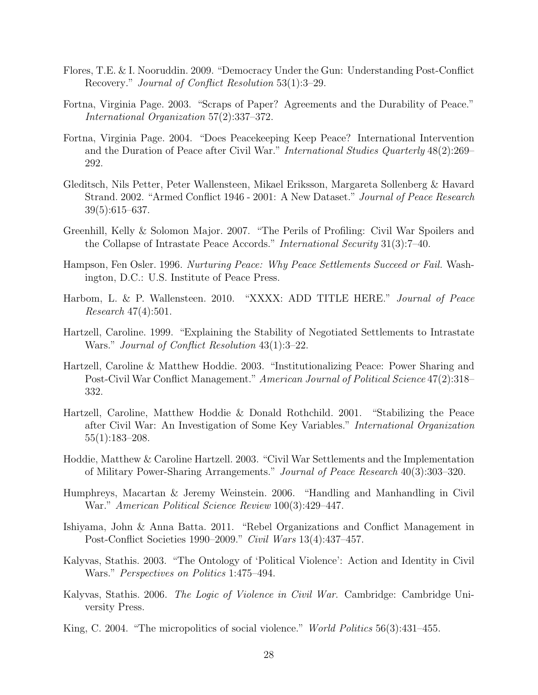- Flores, T.E. & I. Nooruddin. 2009. "Democracy Under the Gun: Understanding Post-Conflict Recovery." Journal of Conflict Resolution 53(1):3–29.
- Fortna, Virginia Page. 2003. "Scraps of Paper? Agreements and the Durability of Peace." International Organization 57(2):337–372.
- Fortna, Virginia Page. 2004. "Does Peacekeeping Keep Peace? International Intervention and the Duration of Peace after Civil War." International Studies Quarterly 48(2):269– 292.
- Gleditsch, Nils Petter, Peter Wallensteen, Mikael Eriksson, Margareta Sollenberg & Havard Strand. 2002. "Armed Conflict 1946 - 2001: A New Dataset." Journal of Peace Research 39(5):615–637.
- Greenhill, Kelly & Solomon Major. 2007. "The Perils of Profiling: Civil War Spoilers and the Collapse of Intrastate Peace Accords." International Security 31(3):7–40.
- Hampson, Fen Osler. 1996. Nurturing Peace: Why Peace Settlements Succeed or Fail. Washington, D.C.: U.S. Institute of Peace Press.
- Harbom, L. & P. Wallensteen. 2010. "XXXX: ADD TITLE HERE." Journal of Peace Research 47(4):501.
- Hartzell, Caroline. 1999. "Explaining the Stability of Negotiated Settlements to Intrastate Wars." Journal of Conflict Resolution 43(1):3–22.
- Hartzell, Caroline & Matthew Hoddie. 2003. "Institutionalizing Peace: Power Sharing and Post-Civil War Conflict Management." American Journal of Political Science 47(2):318– 332.
- Hartzell, Caroline, Matthew Hoddie & Donald Rothchild. 2001. "Stabilizing the Peace after Civil War: An Investigation of Some Key Variables." International Organization 55(1):183–208.
- Hoddie, Matthew & Caroline Hartzell. 2003. "Civil War Settlements and the Implementation of Military Power-Sharing Arrangements." Journal of Peace Research 40(3):303–320.
- Humphreys, Macartan & Jeremy Weinstein. 2006. "Handling and Manhandling in Civil War." American Political Science Review 100(3):429–447.
- Ishiyama, John & Anna Batta. 2011. "Rebel Organizations and Conflict Management in Post-Conflict Societies 1990–2009." Civil Wars 13(4):437–457.
- Kalyvas, Stathis. 2003. "The Ontology of 'Political Violence': Action and Identity in Civil Wars." Perspectives on Politics 1:475–494.
- Kalyvas, Stathis. 2006. The Logic of Violence in Civil War. Cambridge: Cambridge University Press.
- King, C. 2004. "The micropolitics of social violence." World Politics 56(3):431–455.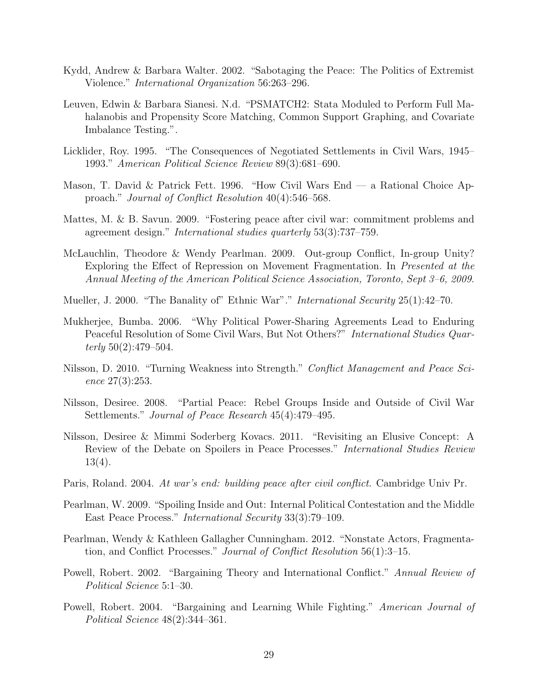- Kydd, Andrew & Barbara Walter. 2002. "Sabotaging the Peace: The Politics of Extremist Violence." International Organization 56:263–296.
- Leuven, Edwin & Barbara Sianesi. N.d. "PSMATCH2: Stata Moduled to Perform Full Mahalanobis and Propensity Score Matching, Common Support Graphing, and Covariate Imbalance Testing.".
- Licklider, Roy. 1995. "The Consequences of Negotiated Settlements in Civil Wars, 1945– 1993." American Political Science Review 89(3):681–690.
- Mason, T. David & Patrick Fett. 1996. "How Civil Wars End a Rational Choice Approach." Journal of Conflict Resolution 40(4):546–568.
- Mattes, M. & B. Savun. 2009. "Fostering peace after civil war: commitment problems and agreement design." International studies quarterly 53(3):737–759.
- McLauchlin, Theodore & Wendy Pearlman. 2009. Out-group Conflict, In-group Unity? Exploring the Effect of Repression on Movement Fragmentation. In Presented at the Annual Meeting of the American Political Science Association, Toronto, Sept 3–6, 2009.
- Mueller, J. 2000. "The Banality of" Ethnic War"." *International Security* 25(1):42–70.
- Mukherjee, Bumba. 2006. "Why Political Power-Sharing Agreements Lead to Enduring Peaceful Resolution of Some Civil Wars, But Not Others?" International Studies Quarterly  $50(2):479-504.$
- Nilsson, D. 2010. "Turning Weakness into Strength." Conflict Management and Peace Science 27(3):253.
- Nilsson, Desiree. 2008. "Partial Peace: Rebel Groups Inside and Outside of Civil War Settlements." Journal of Peace Research 45(4):479–495.
- Nilsson, Desiree & Mimmi Soderberg Kovacs. 2011. "Revisiting an Elusive Concept: A Review of the Debate on Spoilers in Peace Processes." International Studies Review 13(4).
- Paris, Roland. 2004. At war's end: building peace after civil conflict. Cambridge Univ Pr.
- Pearlman, W. 2009. "Spoiling Inside and Out: Internal Political Contestation and the Middle East Peace Process." International Security 33(3):79–109.
- Pearlman, Wendy & Kathleen Gallagher Cunningham. 2012. "Nonstate Actors, Fragmentation, and Conflict Processes." Journal of Conflict Resolution 56(1):3–15.
- Powell, Robert. 2002. "Bargaining Theory and International Conflict." Annual Review of Political Science 5:1–30.
- Powell, Robert. 2004. "Bargaining and Learning While Fighting." American Journal of Political Science 48(2):344–361.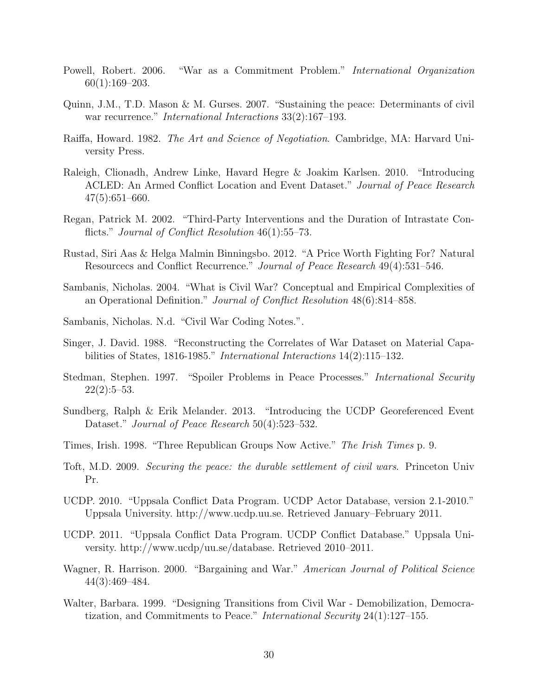- Powell, Robert. 2006. "War as a Commitment Problem." International Organization 60(1):169–203.
- Quinn, J.M., T.D. Mason & M. Gurses. 2007. "Sustaining the peace: Determinants of civil war recurrence." *International Interactions* 33(2):167–193.
- Raiffa, Howard. 1982. The Art and Science of Negotiation. Cambridge, MA: Harvard University Press.
- Raleigh, Clionadh, Andrew Linke, Havard Hegre & Joakim Karlsen. 2010. "Introducing ACLED: An Armed Conflict Location and Event Dataset." Journal of Peace Research 47(5):651–660.
- Regan, Patrick M. 2002. "Third-Party Interventions and the Duration of Intrastate Conflicts." *Journal of Conflict Resolution* 46(1):55–73.
- Rustad, Siri Aas & Helga Malmin Binningsbo. 2012. "A Price Worth Fighting For? Natural Resourcecs and Conflict Recurrence." Journal of Peace Research 49(4):531–546.
- Sambanis, Nicholas. 2004. "What is Civil War? Conceptual and Empirical Complexities of an Operational Definition." Journal of Conflict Resolution 48(6):814–858.
- Sambanis, Nicholas. N.d. "Civil War Coding Notes.".
- Singer, J. David. 1988. "Reconstructing the Correlates of War Dataset on Material Capabilities of States, 1816-1985." International Interactions 14(2):115–132.
- Stedman, Stephen. 1997. "Spoiler Problems in Peace Processes." International Security  $22(2):5-53.$
- Sundberg, Ralph & Erik Melander. 2013. "Introducing the UCDP Georeferenced Event Dataset." *Journal of Peace Research* 50(4):523–532.
- Times, Irish. 1998. "Three Republican Groups Now Active." The Irish Times p. 9.
- Toft, M.D. 2009. Securing the peace: the durable settlement of civil wars. Princeton Univ Pr.
- UCDP. 2010. "Uppsala Conflict Data Program. UCDP Actor Database, version 2.1-2010." Uppsala University. http://www.ucdp.uu.se. Retrieved January–February 2011.
- UCDP. 2011. "Uppsala Conflict Data Program. UCDP Conflict Database." Uppsala University. http://www.ucdp/uu.se/database. Retrieved 2010–2011.
- Wagner, R. Harrison. 2000. "Bargaining and War." American Journal of Political Science 44(3):469–484.
- Walter, Barbara. 1999. "Designing Transitions from Civil War Demobilization, Democratization, and Commitments to Peace." International Security 24(1):127–155.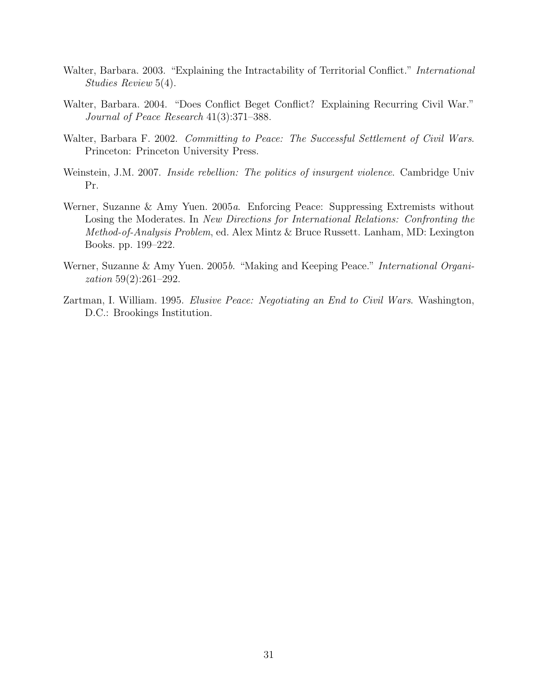- Walter, Barbara. 2003. "Explaining the Intractability of Territorial Conflict." *International* Studies Review 5(4).
- Walter, Barbara. 2004. "Does Conflict Beget Conflict? Explaining Recurring Civil War." Journal of Peace Research 41(3):371–388.
- Walter, Barbara F. 2002. Committing to Peace: The Successful Settlement of Civil Wars. Princeton: Princeton University Press.
- Weinstein, J.M. 2007. Inside rebellion: The politics of insurgent violence. Cambridge Univ Pr.
- Werner, Suzanne & Amy Yuen. 2005a. Enforcing Peace: Suppressing Extremists without Losing the Moderates. In New Directions for International Relations: Confronting the Method-of-Analysis Problem, ed. Alex Mintz & Bruce Russett. Lanham, MD: Lexington Books. pp. 199–222.
- Werner, Suzanne & Amy Yuen. 2005b. "Making and Keeping Peace." *International Organi*zation 59(2):261–292.
- Zartman, I. William. 1995. Elusive Peace: Negotiating an End to Civil Wars. Washington, D.C.: Brookings Institution.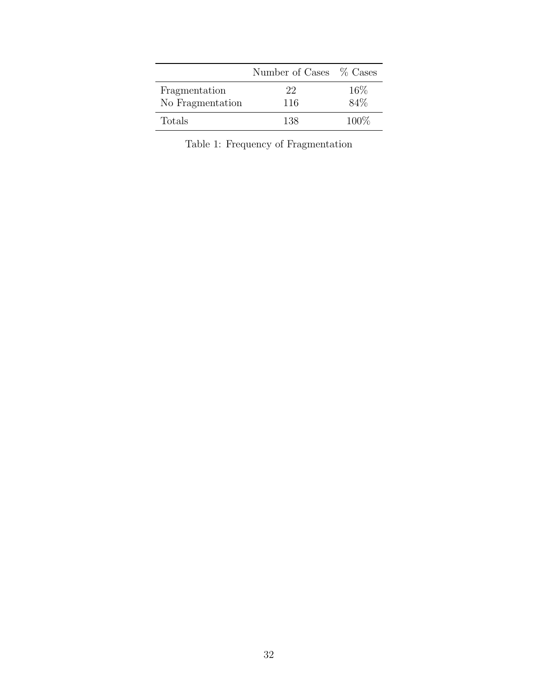<span id="page-31-0"></span>

|                                   | Number of Cases % Cases |             |
|-----------------------------------|-------------------------|-------------|
| Fragmentation<br>No Fragmentation | 22<br>116               | 16%<br>84\% |
| Totals                            | 138                     | 100\%       |

Table 1: Frequency of Fragmentation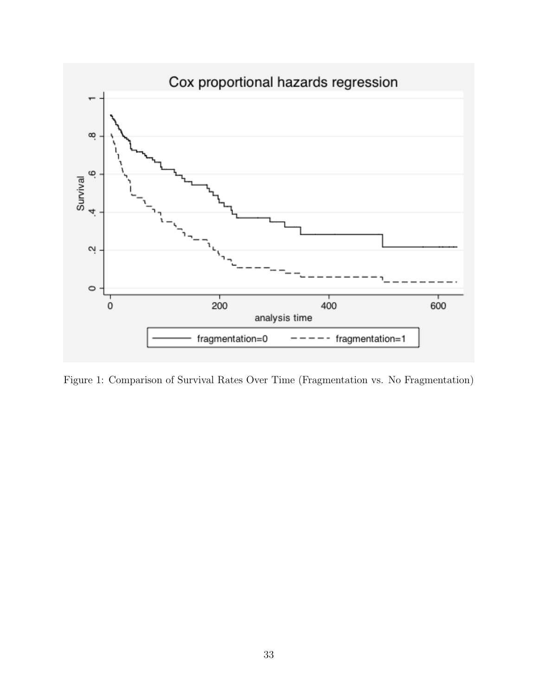<span id="page-32-0"></span>

Figure 1: Comparison of Survival Rates Over Time (Fragmentation vs. No Fragmentation)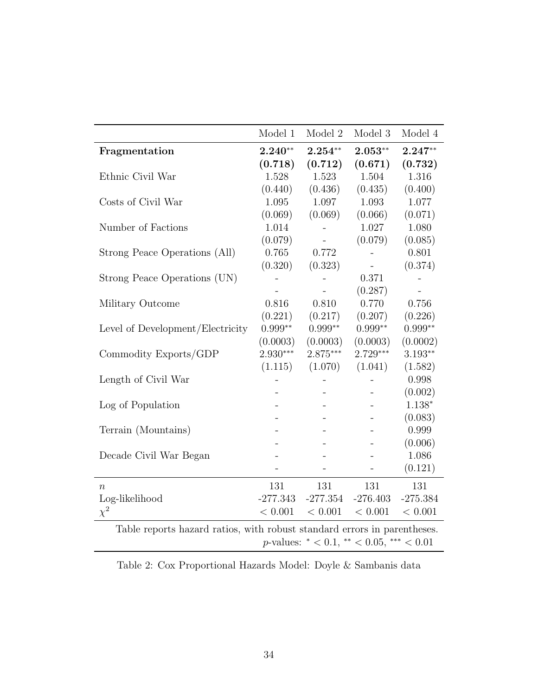<span id="page-33-0"></span>

|                                                                          | Model 1    | Model 2                                     | Model 3        | Model 4    |
|--------------------------------------------------------------------------|------------|---------------------------------------------|----------------|------------|
| Fragmentation                                                            | $2.240**$  | $2.254**$                                   | $2.053**$      | $2.247**$  |
|                                                                          | (0.718)    | (0.712)                                     | (0.671)        | (0.732)    |
| Ethnic Civil War                                                         | 1.528      | 1.523                                       | 1.504          | 1.316      |
|                                                                          | (0.440)    | (0.436)                                     | (0.435)        | (0.400)    |
| Costs of Civil War                                                       | 1.095      | 1.097                                       | 1.093          | 1.077      |
|                                                                          | (0.069)    | (0.069)                                     | (0.066)        | (0.071)    |
| Number of Factions                                                       | 1.014      | $\overline{a}$                              | 1.027          | 1.080      |
|                                                                          | (0.079)    |                                             | (0.079)        | (0.085)    |
| Strong Peace Operations (All)                                            | 0.765      | 0.772                                       |                | 0.801      |
|                                                                          | (0.320)    | (0.323)                                     | $\blacksquare$ | (0.374)    |
| Strong Peace Operations (UN)                                             |            |                                             | 0.371          |            |
|                                                                          |            |                                             | (0.287)        |            |
| Military Outcome                                                         | 0.816      | 0.810                                       | 0.770          | 0.756      |
|                                                                          | (0.221)    | (0.217)                                     | (0.207)        | (0.226)    |
| Level of Development/Electricity                                         | $0.999**$  | $0.999**$                                   | $0.999**$      | $0.999**$  |
|                                                                          | (0.0003)   | (0.0003)                                    | (0.0003)       | (0.0002)   |
| Commodity Exports/GDP                                                    | $2.930***$ | 2.875***                                    | $2.729***$     | $3.193**$  |
|                                                                          | (1.115)    | (1.070)                                     | (1.041)        | (1.582)    |
| Length of Civil War                                                      |            |                                             |                | 0.998      |
|                                                                          |            |                                             | $\overline{a}$ | (0.002)    |
| Log of Population                                                        |            |                                             |                | $1.138*$   |
|                                                                          |            |                                             |                | (0.083)    |
| Terrain (Mountains)                                                      |            |                                             |                | 0.999      |
|                                                                          |            |                                             |                | (0.006)    |
| Decade Civil War Began                                                   |            |                                             |                | 1.086      |
|                                                                          |            |                                             |                | (0.121)    |
| $\, n$                                                                   | 131        | 131                                         | 131            | 131        |
| Log-likelihood                                                           | $-277.343$ | $-277.354$                                  | $-276.403$     | $-275.384$ |
| $\chi^2$                                                                 | < 0.001    | < 0.001                                     | < 0.001        | < 0.001    |
| Table reports hazard ratios, with robust standard errors in parentheses. |            |                                             |                |            |
|                                                                          |            | $p$ -values: * < 0.1, ** < 0.05, *** < 0.01 |                |            |
|                                                                          |            |                                             |                |            |

Table 2: Cox Proportional Hazards Model: Doyle & Sambanis data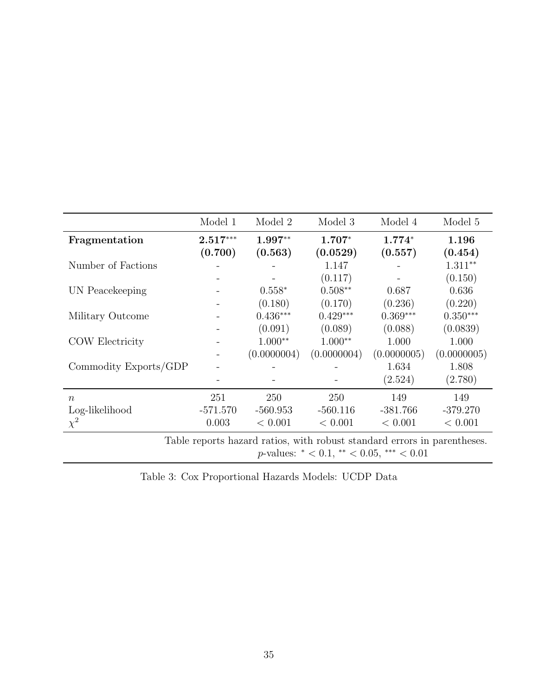<span id="page-34-0"></span>

|                                                                          | Model 1    | Model 2     | Model 3     | Model 4     | Model 5     |
|--------------------------------------------------------------------------|------------|-------------|-------------|-------------|-------------|
| Fragmentation                                                            | $2.517***$ | $1.997**$   | $1.707*$    | $1.774*$    | 1.196       |
|                                                                          | (0.700)    | (0.563)     | (0.0529)    | (0.557)     | (0.454)     |
| Number of Factions                                                       |            |             | 1.147       |             | $1.311**$   |
|                                                                          |            |             | (0.117)     |             | (0.150)     |
| UN Peacekeeping                                                          |            | $0.558*$    | $0.508**$   | 0.687       | 0.636       |
|                                                                          |            | (0.180)     | (0.170)     | (0.236)     | (0.220)     |
| Military Outcome                                                         |            | $0.436***$  | $0.429***$  | $0.369***$  | $0.350***$  |
|                                                                          |            | (0.091)     | (0.089)     | (0.088)     | (0.0839)    |
| COW Electricity                                                          |            | $1.000**$   | $1.000**$   | 1.000       | 1.000       |
|                                                                          |            | (0.0000004) | (0.0000004) | (0.0000005) | (0.0000005) |
| Commodity Exports/GDP                                                    |            |             |             | 1.634       | 1.808       |
|                                                                          |            |             |             | (2.524)     | (2.780)     |
| $\eta$                                                                   | 251        | 250         | 250         | 149         | 149         |
| Log-likelihood                                                           | $-571.570$ | $-560.953$  | $-560.116$  | $-381.766$  | $-379.270$  |
| $\chi^2$                                                                 | 0.003      | < 0.001     | < 0.001     | < 0.001     | < 0.001     |
| Table reports hazard ratios, with robust standard errors in parentheses. |            |             |             |             |             |

 $p\text{-values: }^* < 0.1,$ <br> $^{**} < 0.05,$   $^{***} < 0.01$ 

Table 3: Cox Proportional Hazards Models: UCDP Data